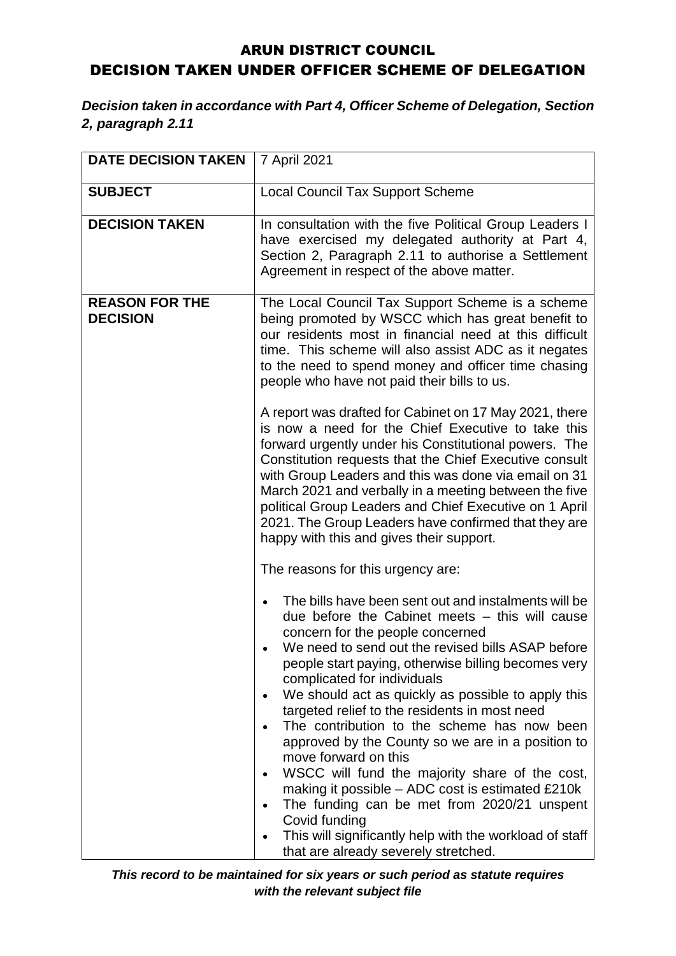## ARUN DISTRICT COUNCIL DECISION TAKEN UNDER OFFICER SCHEME OF DELEGATION

## *Decision taken in accordance with Part 4, Officer Scheme of Delegation, Section 2, paragraph 2.11*

| <b>DATE DECISION TAKEN</b>               | 7 April 2021                                                                                                                                                                                                                                                                                                                                                                                                                                                                                                                                                                                                                                                                                                                                                                                      |
|------------------------------------------|---------------------------------------------------------------------------------------------------------------------------------------------------------------------------------------------------------------------------------------------------------------------------------------------------------------------------------------------------------------------------------------------------------------------------------------------------------------------------------------------------------------------------------------------------------------------------------------------------------------------------------------------------------------------------------------------------------------------------------------------------------------------------------------------------|
| <b>SUBJECT</b>                           | <b>Local Council Tax Support Scheme</b>                                                                                                                                                                                                                                                                                                                                                                                                                                                                                                                                                                                                                                                                                                                                                           |
|                                          |                                                                                                                                                                                                                                                                                                                                                                                                                                                                                                                                                                                                                                                                                                                                                                                                   |
| <b>DECISION TAKEN</b>                    | In consultation with the five Political Group Leaders I<br>have exercised my delegated authority at Part 4,<br>Section 2, Paragraph 2.11 to authorise a Settlement<br>Agreement in respect of the above matter.                                                                                                                                                                                                                                                                                                                                                                                                                                                                                                                                                                                   |
| <b>REASON FOR THE</b><br><b>DECISION</b> | The Local Council Tax Support Scheme is a scheme<br>being promoted by WSCC which has great benefit to<br>our residents most in financial need at this difficult<br>time. This scheme will also assist ADC as it negates<br>to the need to spend money and officer time chasing<br>people who have not paid their bills to us.                                                                                                                                                                                                                                                                                                                                                                                                                                                                     |
|                                          | A report was drafted for Cabinet on 17 May 2021, there<br>is now a need for the Chief Executive to take this<br>forward urgently under his Constitutional powers. The<br>Constitution requests that the Chief Executive consult<br>with Group Leaders and this was done via email on 31<br>March 2021 and verbally in a meeting between the five<br>political Group Leaders and Chief Executive on 1 April<br>2021. The Group Leaders have confirmed that they are<br>happy with this and gives their support.                                                                                                                                                                                                                                                                                    |
|                                          | The reasons for this urgency are:                                                                                                                                                                                                                                                                                                                                                                                                                                                                                                                                                                                                                                                                                                                                                                 |
|                                          | The bills have been sent out and instalments will be<br>due before the Cabinet meets – this will cause<br>concern for the people concerned<br>We need to send out the revised bills ASAP before<br>people start paying, otherwise billing becomes very<br>complicated for individuals<br>We should act as quickly as possible to apply this<br>targeted relief to the residents in most need<br>The contribution to the scheme has now been<br>approved by the County so we are in a position to<br>move forward on this<br>WSCC will fund the majority share of the cost,<br>making it possible - ADC cost is estimated £210k<br>The funding can be met from 2020/21 unspent<br>Covid funding<br>This will significantly help with the workload of staff<br>that are already severely stretched. |

*This record to be maintained for six years or such period as statute requires with the relevant subject file*